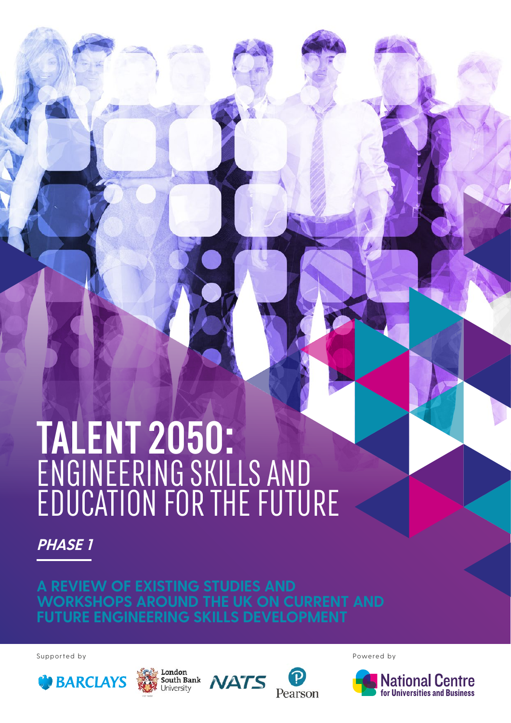# **TALENT 2050:**  ENGINEERING SKILLS AND EDUCATION FOR THE FUTURE

**PHASE 1**

**A REVIEW OF EXISTING STUDIES AND WORKSHOPS AROUND THE UK ON CURRENT AND FUTURE ENGINEERING SKILLS DEVELOPMENT**

Supported by Powered by Powered by Powered by Powered by Powered by Powered by Powered by Powered by  $\mathbb{R}^n$ 









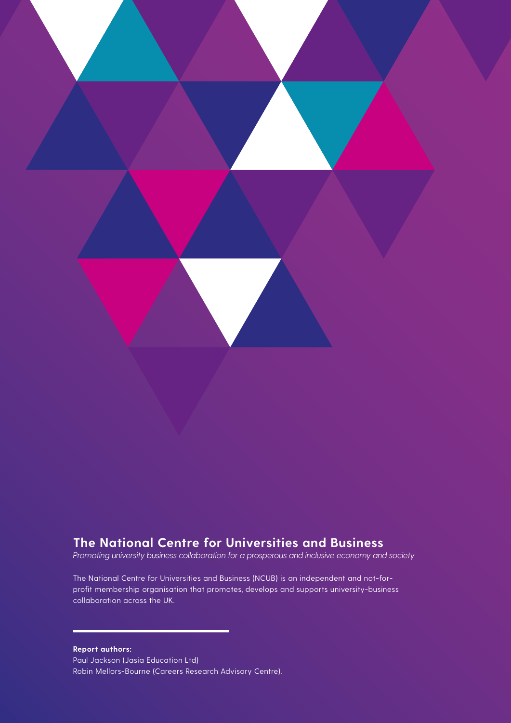

### **The National Centre for Universities and Business**

*Promoting university business collaboration for a prosperous and inclusive economy and society*

The National Centre for Universities and Business (NCUB) is an independent and not-forprofit membership organisation that promotes, develops and supports university-business collaboration across the UK.

**Report authors:** Paul Jackson (Jasia Education Ltd) Robin Mellors-Bourne (Careers Research Advisory Centre).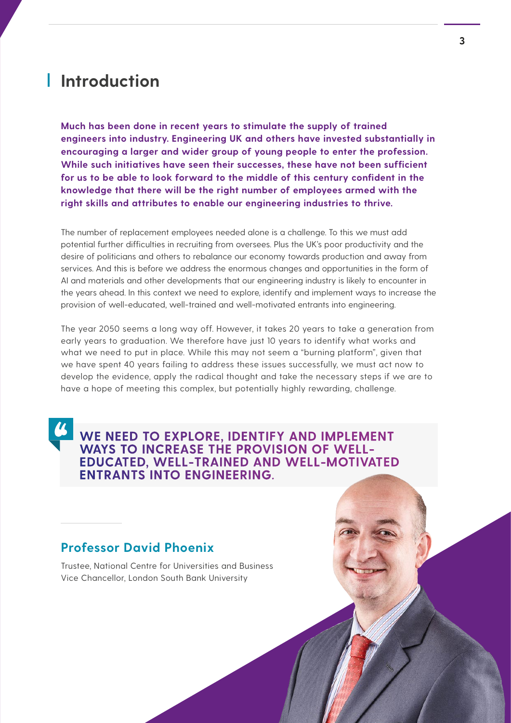## **Introduction**

**Much has been done in recent years to stimulate the supply of trained engineers into industry. Engineering UK and others have invested substantially in encouraging a larger and wider group of young people to enter the profession. While such initiatives have seen their successes, these have not been sufficient for us to be able to look forward to the middle of this century confident in the knowledge that there will be the right number of employees armed with the right skills and attributes to enable our engineering industries to thrive.**

The number of replacement employees needed alone is a challenge. To this we must add potential further difficulties in recruiting from oversees. Plus the UK's poor productivity and the desire of politicians and others to rebalance our economy towards production and away from services. And this is before we address the enormous changes and opportunities in the form of AI and materials and other developments that our engineering industry is likely to encounter in the years ahead. In this context we need to explore, identify and implement ways to increase the provision of well-educated, well-trained and well-motivated entrants into engineering.

The year 2050 seems a long way off. However, it takes 20 years to take a generation from early years to graduation. We therefore have just 10 years to identify what works and what we need to put in place. While this may not seem a "burning platform", given that we have spent 40 years failing to address these issues successfully, we must act now to develop the evidence, apply the radical thought and take the necessary steps if we are to have a hope of meeting this complex, but potentially highly rewarding, challenge.

**WE NEED TO EXPLORE, IDENTIFY AND IMPLEMENT WAYS TO INCREASE THE PROVISION OF WELL-EDUCATED, WELL-TRAINED AND WELL-MOTIVATED ENTRANTS INTO ENGINEERING.**

#### **Professor David Phoenix**

Trustee, National Centre for Universities and Business Vice Chancellor, London South Bank University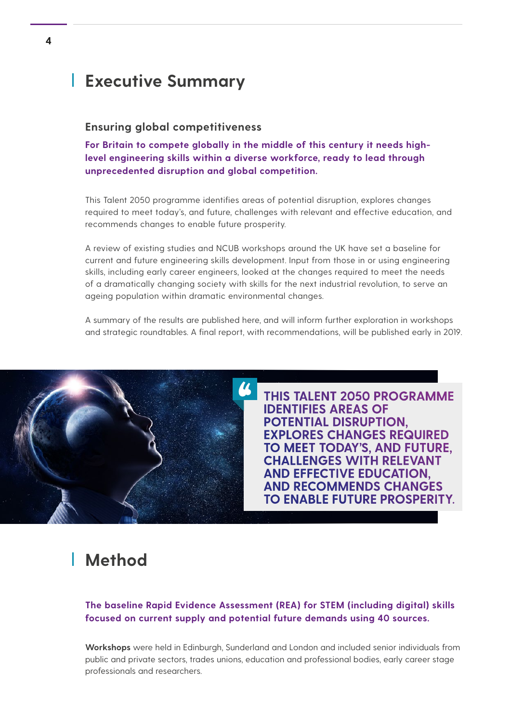## **Executive Summary**

#### **Ensuring global competitiveness**

**For Britain to compete globally in the middle of this century it needs highlevel engineering skills within a diverse workforce, ready to lead through unprecedented disruption and global competition.**

This Talent 2050 programme identifies areas of potential disruption, explores changes required to meet today's, and future, challenges with relevant and effective education, and recommends changes to enable future prosperity.

A review of existing studies and NCUB workshops around the UK have set a baseline for current and future engineering skills development. Input from those in or using engineering skills, including early career engineers, looked at the changes required to meet the needs of a dramatically changing society with skills for the next industrial revolution, to serve an ageing population within dramatic environmental changes.

A summary of the results are published here, and will inform further exploration in workshops and strategic roundtables. A final report, with recommendations, will be published early in 2019.



**THIS TALENT 2050 PROGRAMME IDENTIFIES AREAS OF POTENTIAL DISRUPTION, EXPLORES CHANGES REQUIRED TO MEET TODAY'S, AND FUTURE, CHALLENGES WITH RELEVANT AND EFFECTIVE EDUCATION, AND RECOMMENDS CHANGES TO ENABLE FUTURE PROSPERITY.** 

## **Method**

**The baseline Rapid Evidence Assessment (REA) for STEM (including digital) skills focused on current supply and potential future demands using 40 sources.**

**Workshops** were held in Edinburgh, Sunderland and London and included senior individuals from public and private sectors, trades unions, education and professional bodies, early career stage professionals and researchers.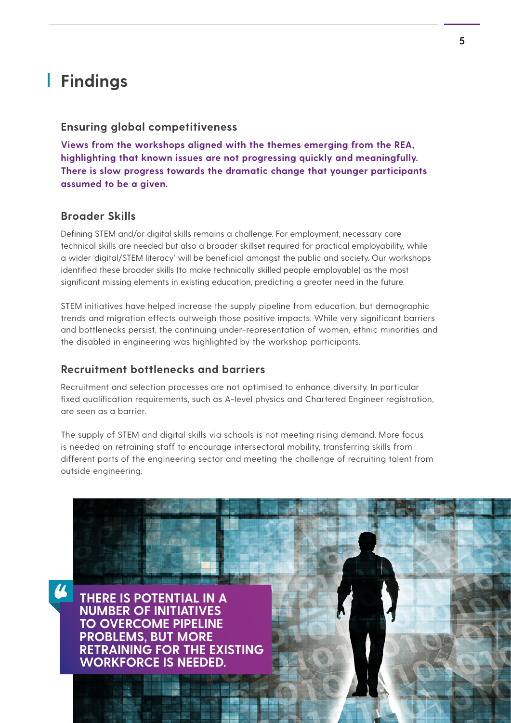## **Findings**

#### **Ensuring global competitiveness**

**Views from the workshops aligned with the themes emerging from the REA, highlighting that known issues are not progressing quickly and meaningfully. There is slow progress towards the dramatic change that younger participants assumed to be a given.**

#### **Broader Skills**

Defining STEM and/or digital skills remains a challenge. For employment, necessary core technical skills are needed but also a broader skillset required for practical employability, while a wider 'digital/STEM literacy' will be beneficial amongst the public and society. Our workshops identified these broader skills (to make technically skilled people employable) as the most significant missing elements in existing education, predicting a greater need in the future.

STEM initiatives have helped increase the supply pipeline from education, but demographic trends and migration effects outweigh those positive impacts. While very significant barriers and bottlenecks persist, the continuing under-representation of women, ethnic minorities and the disabled in engineering was highlighted by the workshop participants.

#### **Recruitment bottlenecks and barriers**

Recruitment and selection processes are not optimised to enhance diversity. In particular fixed qualification requirements, such as A-level physics and Chartered Engineer registration, are seen as a barrier.

The supply of STEM and digital skills via schools is not meeting rising demand. More focus is needed on retraining staff to encourage intersectoral mobility, transferring skills from different parts of the engineering sector and meeting the challenge of recruiting talent from outside engineering.

**THERE IS POTENTIAL IN A NUMBER OF INITIATIVES TO OVERCOME PIPELINE PROBLEMS, BUT MORE RETRAINING FOR THE EXISTING WORKFORCE IS NEEDED.**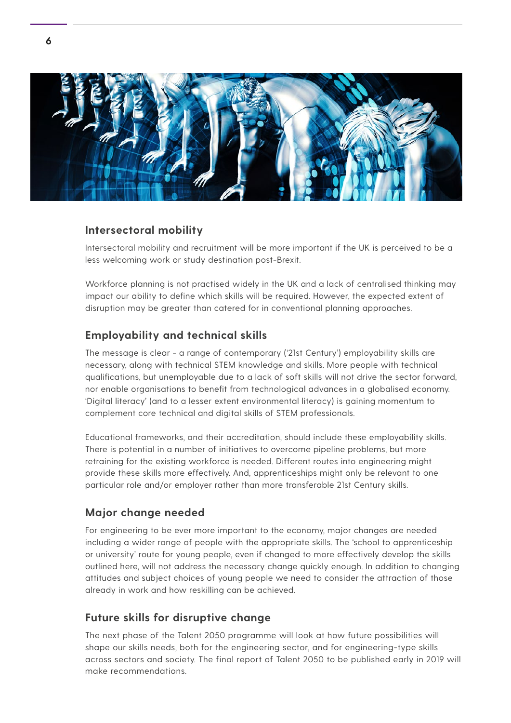

#### **Intersectoral mobility**

Intersectoral mobility and recruitment will be more important if the UK is perceived to be a less welcoming work or study destination post-Brexit.

Workforce planning is not practised widely in the UK and a lack of centralised thinking may impact our ability to define which skills will be required. However, the expected extent of disruption may be greater than catered for in conventional planning approaches.

#### **Employability and technical skills**

The message is clear - a range of contemporary ('21st Century') employability skills are necessary, along with technical STEM knowledge and skills. More people with technical qualifications, but unemployable due to a lack of soft skills will not drive the sector forward, nor enable organisations to benefit from technological advances in a globalised economy. 'Digital literacy' (and to a lesser extent environmental literacy) is gaining momentum to complement core technical and digital skills of STEM professionals.

Educational frameworks, and their accreditation, should include these employability skills. There is potential in a number of initiatives to overcome pipeline problems, but more retraining for the existing workforce is needed. Different routes into engineering might provide these skills more effectively. And, apprenticeships might only be relevant to one particular role and/or employer rather than more transferable 21st Century skills.

#### **Major change needed**

For engineering to be ever more important to the economy, major changes are needed including a wider range of people with the appropriate skills. The 'school to apprenticeship or university' route for young people, even if changed to more effectively develop the skills outlined here, will not address the necessary change quickly enough. In addition to changing attitudes and subject choices of young people we need to consider the attraction of those already in work and how reskilling can be achieved.

#### **Future skills for disruptive change**

The next phase of the Talent 2050 programme will look at how future possibilities will shape our skills needs, both for the engineering sector, and for engineering-type skills across sectors and society. The final report of Talent 2050 to be published early in 2019 will make recommendations.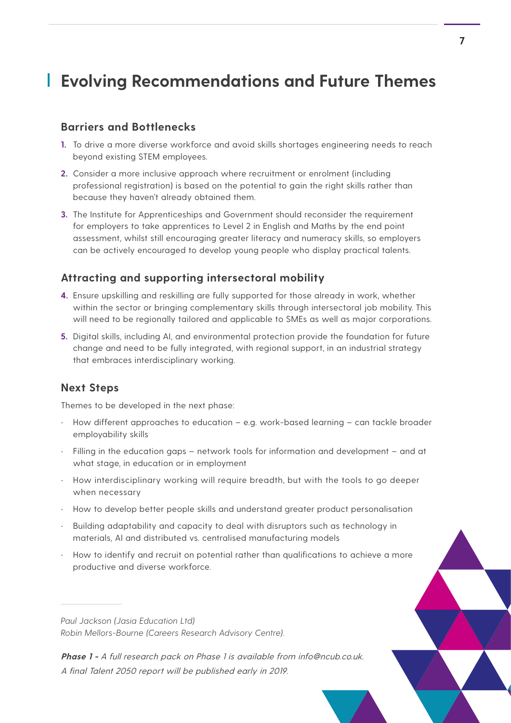# **Evolving Recommendations and Future Themes**

#### **Barriers and Bottlenecks**

- **1.** To drive a more diverse workforce and avoid skills shortages engineering needs to reach beyond existing STEM employees.
- **2.** Consider a more inclusive approach where recruitment or enrolment (including professional registration) is based on the potential to gain the right skills rather than because they haven't already obtained them.
- **3.** The Institute for Apprenticeships and Government should reconsider the requirement for employers to take apprentices to Level 2 in English and Maths by the end point assessment, whilst still encouraging greater literacy and numeracy skills, so employers can be actively encouraged to develop young people who display practical talents.

#### **Attracting and supporting intersectoral mobility**

- **4.** Ensure upskilling and reskilling are fully supported for those already in work, whether within the sector or bringing complementary skills through intersectoral job mobility. This will need to be regionally tailored and applicable to SMEs as well as major corporations.
- **5.** Digital skills, including AI, and environmental protection provide the foundation for future change and need to be fully integrated, with regional support, in an industrial strategy that embraces interdisciplinary working.

#### **Next Steps**

Themes to be developed in the next phase:

- How different approaches to education e.g. work-based learning can tackle broader employability skills
- Filling in the education gaps network tools for information and development and at what stage, in education or in employment
- How interdisciplinary working will require breadth, but with the tools to go deeper when necessary
- How to develop better people skills and understand greater product personalisation
- Building adaptability and capacity to deal with disruptors such as technology in materials, AI and distributed vs. centralised manufacturing models
- How to identify and recruit on potential rather than qualifications to achieve a more productive and diverse workforce.

*Paul Jackson (Jasia Education Ltd) Robin Mellors-Bourne (Careers Research Advisory Centre).*

**Phase 1 -** A full research pack on Phase 1 is available from info@ncub.co.uk. A final Talent 2050 report will be published early in 2019.